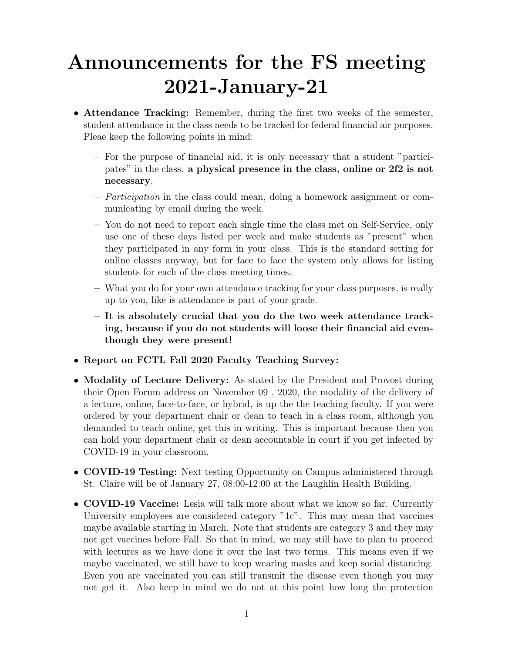## Announcements for the FS meeting 2021-January-21

- Attendance Tracking: Remember, during the first two weeks of the semester, student attendance in the class needs to be tracked for federal financial air purposes. Pleae keep the following points in mind:
	- For the purpose of financial aid, it is only necessary that a student "participates" in the class. a physical presence in the class, online or 2f2 is not necessary.
	- Participation in the class could mean, doing a homework assignment or communicating by email during the week.
	- You do not need to report each single time the class met on Self-Service, only use one of these days listed per week and make students as "present" when they participated in any form in your class. This is the standard setting for online classes anyway, but for face to face the system only allows for listing students for each of the class meeting times.
	- What you do for your own attendance tracking for your class purposes, is really up to you, like is attendance is part of your grade.
	- It is absolutely crucial that you do the two week attendance tracking, because if you do not students will loose their financial aid eventhough they were present!
- Report on FCTL Fall 2020 Faculty Teaching Survey:
- Modality of Lecture Delivery: As stated by the President and Provost during their Open Forum address on November 09 , 2020, the modality of the delivery of a lecture, online, face-to-face, or hybrid, is up the the teaching faculty. If you were ordered by your department chair or dean to teach in a class room, although you demanded to teach online, get this in writing. This is important because then you can hold your department chair or dean accountable in court if you get infected by COVID-19 in your classroom.
- **COVID-19 Testing:** Next testing Opportunity on Campus administered through St. Claire will be of January 27, 08:00-12:00 at the Laughlin Health Building.
- COVID-19 Vaccine: Lesia will talk more about what we know so far. Currently University employees are considered category "1c". This may mean that vaccines maybe available starting in March. Note that students are category 3 and they may not get vaccines before Fall. So that in mind, we may still have to plan to proceed with lectures as we have done it over the last two terms. This means even if we maybe vaccinated, we still have to keep wearing masks and keep social distancing. Even you are vaccinated you can still transmit the disease even though you may not get it. Also keep in mind we do not at this point how long the protection